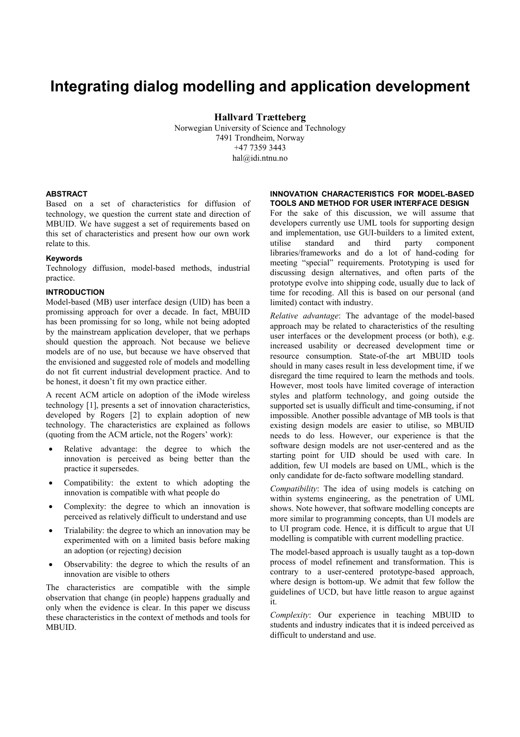# **Integrating dialog modelling and application development**

**Hallvard Trætteberg** 

Norwegian University of Science and Technology 7491 Trondheim, Norway +47 7359 3443 hal@idi.ntnu.no

## **ABSTRACT**

Based on a set of characteristics for diffusion of technology, we question the current state and direction of MBUID. We have suggest a set of requirements based on this set of characteristics and present how our own work relate to this.

## **Keywords**

Technology diffusion, model-based methods, industrial practice.

#### **INTRODUCTION**

Model-based (MB) user interface design (UID) has been a promissing approach for over a decade. In fact, MBUID has been promissing for so long, while not being adopted by the mainstream application developer, that we perhaps should question the approach. Not because we believe models are of no use, but because we have observed that the envisioned and suggested role of models and modelling do not fit current industrial development practice. And to be honest, it doesn't fit my own practice either.

A recent ACM article on adoption of the iMode wireless technology [1], presents a set of innovation characteristics, developed by Rogers [2] to explain adoption of new technology. The characteristics are explained as follows (quoting from the ACM article, not the Rogers' work):

- Relative advantage: the degree to which the innovation is perceived as being better than the practice it supersedes.
- Compatibility: the extent to which adopting the innovation is compatible with what people do
- Complexity: the degree to which an innovation is perceived as relatively difficult to understand and use
- Trialability: the degree to which an innovation may be experimented with on a limited basis before making an adoption (or rejecting) decision
- Observability: the degree to which the results of an innovation are visible to others

The characteristics are compatible with the simple observation that change (in people) happens gradually and only when the evidence is clear. In this paper we discuss these characteristics in the context of methods and tools for MBUID.

#### **INNOVATION CHARACTERISTICS FOR MODEL-BASED TOOLS AND METHOD FOR USER INTERFACE DESIGN**

For the sake of this discussion, we will assume that developers currently use UML tools for supporting design and implementation, use GUI-builders to a limited extent, utilise standard and third party component libraries/frameworks and do a lot of hand-coding for meeting "special" requirements. Prototyping is used for discussing design alternatives, and often parts of the prototype evolve into shipping code, usually due to lack of time for recoding. All this is based on our personal (and limited) contact with industry.

*Relative advantage*: The advantage of the model-based approach may be related to characteristics of the resulting user interfaces or the development process (or both), e.g. increased usability or decreased development time or resource consumption. State-of-the art MBUID tools should in many cases result in less development time, if we disregard the time required to learn the methods and tools. However, most tools have limited coverage of interaction styles and platform technology, and going outside the supported set is usually difficult and time-consuming, if not impossible. Another possible advantage of MB tools is that existing design models are easier to utilise, so MBUID needs to do less. However, our experience is that the software design models are not user-centered and as the starting point for UID should be used with care. In addition, few UI models are based on UML, which is the only candidate for de-facto software modelling standard.

*Compatibility*: The idea of using models is catching on within systems engineering, as the penetration of UML shows. Note however, that software modelling concepts are more similar to programming concepts, than UI models are to UI program code. Hence, it is difficult to argue that UI modelling is compatible with current modelling practice.

The model-based approach is usually taught as a top-down process of model refinement and transformation. This is contrary to a user-centered prototype-based approach, where design is bottom-up. We admit that few follow the guidelines of UCD, but have little reason to argue against it.

*Complexity*: Our experience in teaching MBUID to students and industry indicates that it is indeed perceived as difficult to understand and use.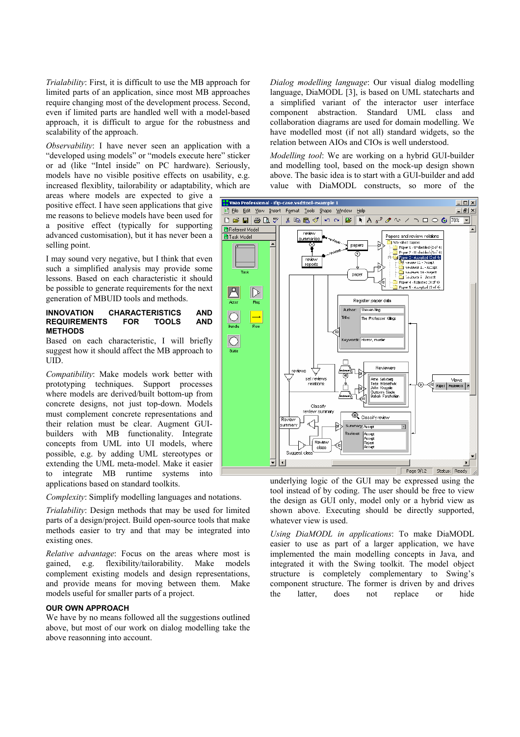*Trialability*: First, it is difficult to use the MB approach for limited parts of an application, since most MB approaches require changing most of the development process. Second, even if limited parts are handled well with a model-based approach, it is difficult to argue for the robustness and scalability of the approach.

*Observability*: I have never seen an application with a "developed using models" or "models execute here" sticker or ad (like "Intel inside" on PC hardware). Seriously, models have no visible positive effects on usability, e.g. increased flexiblity, tailorability or adaptability, which are

areas where models are expected to give a positive effect. I have seen applications that give me reasons to believe models have been used for a positive effect (typically for supporting advanced customisation), but it has never been a selling point.

I may sound very negative, but I think that even such a simplified analysis may provide some lessons. Based on each characteristic it should be possible to generate requirements for the next generation of MBUID tools and methods.

#### **INNOVATION CHARACTERISTICS AND REQUIREMENTS FOR TOOLS AND METHODS**

Based on each characteristic, I will briefly suggest how it should affect the MB approach to UID.

*Compatibility*: Make models work better with prototyping techniques. Support processes where models are derived/built bottom-up from concrete designs, not just top-down. Models must complement concrete representations and their relation must be clear. Augment GUIbuilders with MB functionality. Integrate concepts from UML into UI models, where possible, e.g. by adding UML stereotypes or extending the UML meta-model. Make it easier to integrate MB runtime systems into applications based on standard toolkits.

*Complexity*: Simplify modelling languages and notations.

*Trialability*: Design methods that may be used for limited parts of a design/project. Build open-source tools that make methods easier to try and that may be integrated into existing ones.

*Relative advantage*: Focus on the areas where most is gained, e.g. flexibility/tailorability. Make models complement existing models and design representations, and provide means for moving between them. Make models useful for smaller parts of a project.

# **OUR OWN APPROACH**

We have by no means followed all the suggestions outlined above, but most of our work on dialog modelling take the above reasonning into account.

*Dialog modelling language*: Our visual dialog modelling language, DiaMODL [3], is based on UML statecharts and a simplified variant of the interactor user interface component abstraction. Standard UML class and collaboration diagrams are used for domain modelling. We have modelled most (if not all) standard widgets, so the relation between AIOs and CIOs is well understood.

*Modelling tool*: We are working on a hybrid GUI-builder and modelling tool, based on the mock-up design shown above. The basic idea is to start with a GUI-builder and add value with DiaMODL constructs, so more of the



underlying logic of the GUI may be expressed using the tool instead of by coding. The user should be free to view the design as GUI only, model only or a hybrid view as shown above. Executing should be directly supported, whatever view is used.

*Using DiaMODL in applications*: To make DiaMODL easier to use as part of a larger application, we have implemented the main modelling concepts in Java, and integrated it with the Swing toolkit. The model object structure is completely complementary to Swing's component structure. The former is driven by and drives the latter, does not replace or hide